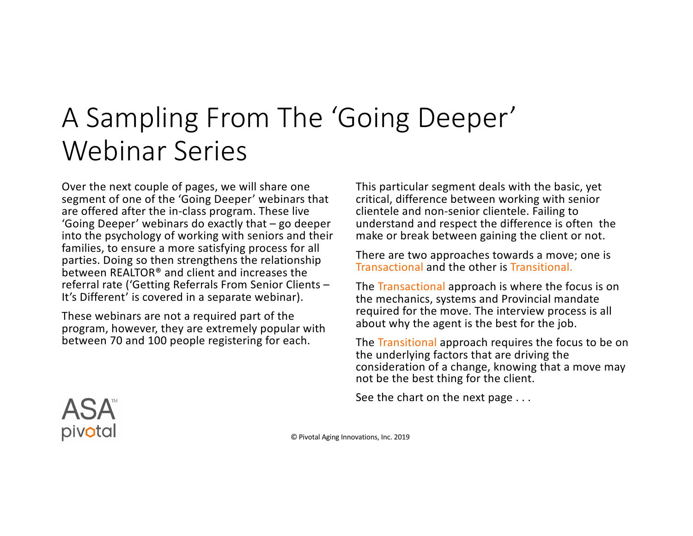## A Sampling From The 'Going Deeper' Webinar Series

Over the next couple of pages, we will share one segment of one of the 'Going Deeper' webinars that are offered after the in-class program. These live 'Going Deeper' webinars do exactly that – go deeper into the psychology of working with seniors and their families, to ensure a more satisfying process for all parties. Doing so then strengthens the relationship between REALTOR® and client and increases the referral rate ('Getting Referrals From Senior Clients – It's Different' is covered in a separate webinar).

These webinars are not a required part of the program, however, they are extremely popular with between 70 and 100 people registering for each.

This particular segment deals with the basic, yet critical, difference between working with senior clientele and non-senior clientele. Failing to understand and respect the difference is often the make or break between gaining the client or not.

There are two approaches towards a move; one is Transactional and the other is Transitional.

The Transactional approach is where the focus is on the mechanics, systems and Provincial mandate required for the move. The interview process is all about why the agent is the best for the job.

The Transitional approach requires the focus to be on the underlying factors that are driving the consideration of a change, knowing that a move may not be the best thing for the client.

See the chart on the next page . . .

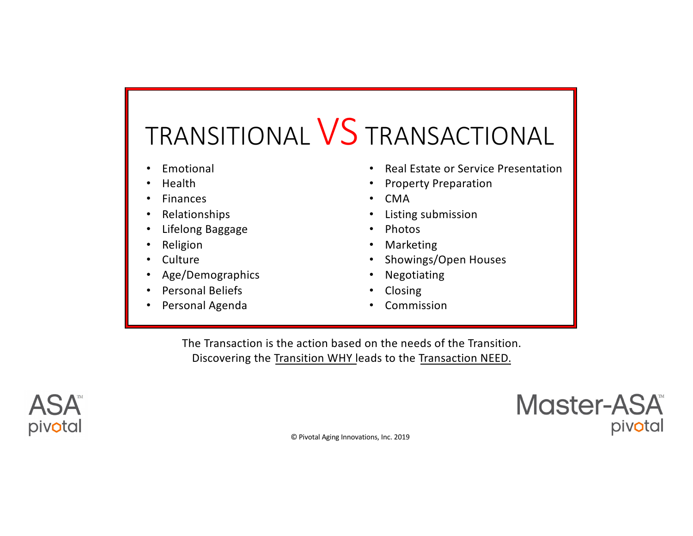## TRANSITIONAL VS TRANSACTIONAL

- **Emotional**
- Health
- **Finances**
- Relationships
- Lifelong Baggage
- **Religion**
- **Culture**
- Age/Demographics
- Personal Beliefs
- Personal Agenda
- Real Estate or Service Presentation
- Property Preparation
- CMA
- Listing submission
- Photos
- **Marketing**
- Showings/Open Houses
- Negotiating
- Closing
- **Commission**

The Transaction is the action based on the needs of the Transition. Discovering the Transition WHY leads to the Transaction NEED.



Master-ASA pivotal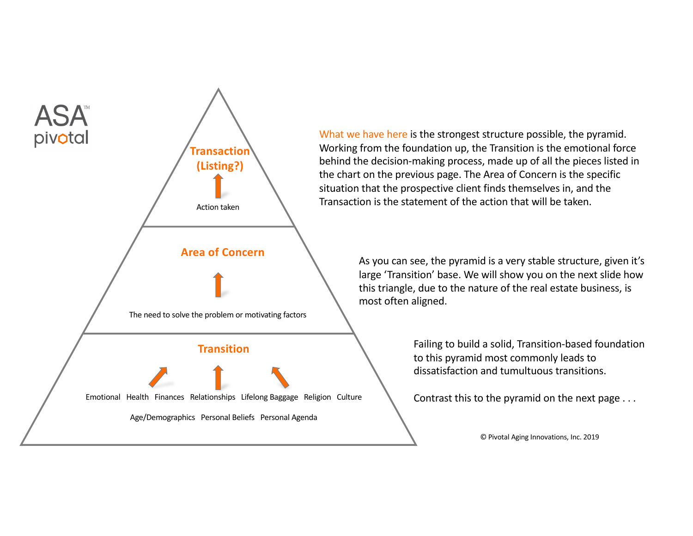

What we have here is the strongest structure possible, the pyramid. Working from the foundation up, the Transition is the emotional force behind the decision-making process, made up of all the pieces listed in the chart on the previous page. The Area of Concern is the specific situation that the prospective client finds themselves in, and the Transaction is the statement of the action that will be taken.

> As you can see, the pyramid is a very stable structure, given it's large 'Transition' base. We will show you on the next slide how this triangle, due to the nature of the real estate business, is most often aligned.

> > Failing to build a solid, Transition-based foundation to this pyramid most commonly leads to dissatisfaction and tumultuous transitions.

Contrast this to the pyramid on the next page . . .